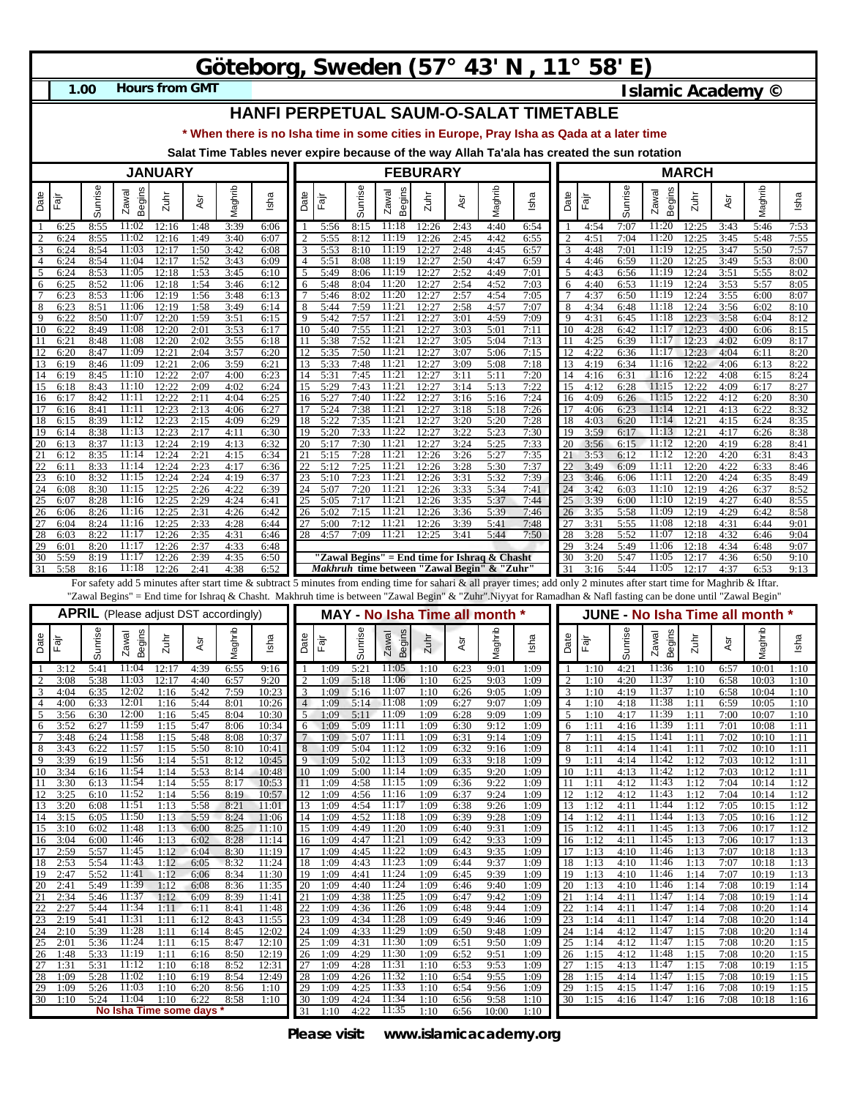## **Göteborg, Sweden (57° 43' N , 11° 58' E)**

**1.00**

**Hours from GMT Islamic Academy ©** 

## **HANFI PERPETUAL SAUM-O-SALAT TIMETABLE**

**\* When there is no Isha time in some cities in Europe, Pray Isha as Qada at a later time**

**Salat Time Tables never expire because of the way Allah Ta'ala has created the sun rotation**

| <b>JANUARY</b> |                      |              |                                              |                      |                      |                      | <b>FEBURARY</b>                                                                                                                                                         |                     |                      |                      |                                                       |                      |                      |                      |                      | <b>MARCH</b>   |                      |                      |                               |                      |                      |                         |                      |
|----------------|----------------------|--------------|----------------------------------------------|----------------------|----------------------|----------------------|-------------------------------------------------------------------------------------------------------------------------------------------------------------------------|---------------------|----------------------|----------------------|-------------------------------------------------------|----------------------|----------------------|----------------------|----------------------|----------------|----------------------|----------------------|-------------------------------|----------------------|----------------------|-------------------------|----------------------|
| Date           | Fājr                 | Sunrise      | <b>Begins</b><br>Zawal                       | Zuhr                 | ĀSr                  | Maghrib              | Isha                                                                                                                                                                    | Date                | Fajr                 | Sunrise              | <b>Begins</b><br>Zawal                                | $2$ uhr              | ĀSr                  | Maghrib              | Isha                 | Date           | Fājr                 | Sunrise              | Begins<br>Zawal               | $2$ uhr              | Asr                  | laghrib<br>Σ            | Isha                 |
| 2              | 6:25<br>6:24         | 8:55         | 11:02<br>11:02                               | 12:16<br>12:16       | 1:48<br>1:49         | 3:39<br>3:40         | 6:06<br>6:07                                                                                                                                                            |                     | 5:56<br>5:55         | 8:15<br>8:12         | 11:18<br>11:19                                        | 12:26<br>12:26       | 2:43<br>2:45         | 4:40<br>4:42         | 6:54<br>6:55         |                | 4:54<br>4:51         | 7:07<br>7:04         | 11:20<br>11:20                | 12:25<br>12:25       | 3:43                 | 5:46<br>5:48            | 7:53<br>7:55         |
| 3              | 6:24                 | 8:55<br>8:54 | 11:03                                        | 12:17                | 1:50                 | 3:42                 | 6:08                                                                                                                                                                    |                     | 5:53                 | 8:10                 | 11:19                                                 | 12:27                | 2:48                 | 4:45                 | 6:57                 | 3              | 4:48                 | 7:01                 | 11:19                         | 12:25                | 3:45<br>3:47         | 5:50                    | 7:57                 |
| 4              | 6:24                 | 8:54         | 11:04                                        | 12:17                | 1:52                 | 3:43                 | 6:09                                                                                                                                                                    | 4                   | 5:51                 | 8:08                 | 11:19<br>11:19                                        | 12:27                | 2:50                 | 4:47                 | 6:59                 | 4              | 4:46                 | 6:59                 | 11:20                         | 12:25                | 3:49                 | 5:53                    | 8:00                 |
| 5<br>6         | 6:24<br>6:25         | 8:53<br>8:52 | 11:05<br>11:06                               | 12:18<br>12:18       | 1:53<br>1:54         | 3:45<br>3:46         | 6:10<br>6:12                                                                                                                                                            | 5<br>6              | 5:49<br>5:48         | 8:06<br>8:04         | 11:20                                                 | 12:27<br>12:27       | 2:52<br>2:54         | 4:49<br>4:52         | 7:01<br>7:03         | 5<br>6         | 4:43<br>4:40         | 6:56<br>6:53         | 11:19<br>11:19                | 12:24<br>12:24       | 3:51<br>3:53         | 5:55<br>5:57            | 8:02<br>8:05         |
| 7              | 6:23                 | 8:53         | 11:06                                        | 12:19                | 1:56                 | 3:48                 | 6:13                                                                                                                                                                    |                     | 5:46                 | 8:02                 | 11:20                                                 | 12:27                | 2:57                 | 4:54                 | 7:05                 | 7              | 4:37                 | 6:50                 | 11:19                         | 12:24                | 3:55                 | 6:00                    | 8:07                 |
| 8<br>9         | 6:23<br>6:22         | 8:51<br>8:50 | 11:06<br>11:07                               | 12:19<br>12:20       | 1:58<br>1:59         | 3:49<br>3:51         | 6:14<br>6:15                                                                                                                                                            | 8<br>9              | 5:44<br>5:42         | 7:59<br>7:57         | 11:21<br>11:21                                        | 12:27<br>12:27       | 2:58<br>3:01         | 4:57<br>4:59         | 7:07<br>7:09         | 8<br>9         | 4:34<br>4:31         | 6:48<br>6:45         | 11:18<br>11:18                | 12:24<br>12:23       | 3:56<br>3:58         | 6:02<br>6:04            | 8:10<br>8:12         |
| 10<br>11       | 6:22<br>6:21         | 8:49         | 11:08<br>11:08                               | 12:20                | 2:01<br>2:02         | 3:53                 | 6:17<br>6:18                                                                                                                                                            | 10                  | 5:40                 | 7:55<br>7:52         | 11:21<br>11:21                                        | 12:27                | 3:03<br>3:05         | 5:01<br>5:04         | 7:11<br>7:13         | 10             | 4:28<br>4:25         | 6:42<br>6:39         | 11:17<br>11:17                | 12:23<br>12:23       | 4:00                 | 6:06<br>6:09            | 8:15<br>8:17         |
| 12             | 6:20                 | 8:48<br>8:47 | 11:09                                        | 12:20<br>12:2        | 2:04                 | 3:55<br>3:57         | 6:20                                                                                                                                                                    | 11<br>12            | 5:38<br>5:35         | 7:50                 | 11:2                                                  | 12:27<br>12:27       | 3:07                 | 5:06                 | 7:15                 | 12             | 4:22                 | 6:36                 | 11:17                         | 12:23                | 4:02<br>4:04         | 6:11                    | 8:20                 |
| 13<br>14       | 6:19<br>6:19         | 8:46<br>8:45 | 11:09<br>11:10                               | 12:21<br>12:22       | 2:06<br>2:07         | 3:59<br>4:00         | 6:21<br>6:23                                                                                                                                                            | 13<br>14            | 5:33<br>5:31         | 7:48<br>7:45         | 11:21<br>11:21                                        | 12:27<br>12:27       | 3:09<br>3:11         | 5:08<br>5:11         | 7:18<br>7:20         | 13<br>14       | 4:19<br>4:16         | 6:34<br>6:31         | 11:16<br>11:16                | 12:22<br>12:22       | 4:06<br>4:08         | 6:13<br>6:15            | 8:22<br>8:24         |
| 15             | 6:18                 | 8:43         | 11:10                                        | 12:22                | 2:09                 | 4:02                 | 6:24                                                                                                                                                                    | 15                  | 5:29                 | 7:43                 | 11:21                                                 | 12:27                | 3:14                 | 5:13                 | 7:22                 | 15             | 4:12                 | 6:28                 | 11:15                         | 12:22                | 4:09                 | 6:17                    | 8:27                 |
| 16<br>17       | 6:17                 | 8:42<br>8:41 | 11:11<br>11:11                               | 12:22<br>12:23       | 2:11                 | 4:04<br>4:06         | 6:25<br>6:27                                                                                                                                                            | 16<br>17            | 5:27<br>5:24         | 7:40<br>7:38         | 11:22<br>11:21                                        | 12:27<br>12:27       | 3:16<br>3:18         | 5:16<br>5:18         | 7:24<br>7:26         | 16<br>17       | 4:09<br>4:06         | 6:26<br>6:23         | 11:15<br>11:14                | 12:22<br>12:21       | 4:12                 | 6:20<br>6:22            | 8:30<br>8:32         |
| 18             | 6:16<br>6:15         | 8:39         | 11:12                                        | 12:23                | 2:13<br>2:15         | 4:09                 | 6:29                                                                                                                                                                    | 18                  | 5:22                 | 7:35                 | 11:21                                                 | 12:27                | 3:20                 | 5:20                 | 7:28                 | 18             | 4:03                 | 6:20                 | 11:14                         | 12:21                | 4:13<br>4:15         | 6:24                    | 8:35                 |
| 19<br>20       | 6:14<br>6:13         | 8:38<br>8:37 | 11:13<br>11:13                               | 12:23<br>12:24       | 2:17<br>2:19         | 4:11<br>4:13         | 6:30<br>6:32                                                                                                                                                            | 19<br>20            | 5:20<br>5:17         | 7:33<br>7:30         | 11:22<br>11:21                                        | 12:27<br>12:27       | 3:22<br>3:24         | 5:23<br>5:25         | 7:30<br>7:33         | 19<br>20       | 3:59<br>3:56         | 6:17<br>6:15         | 11:13<br>11:12                | 12:21<br>12:20       | 4:17<br>4:19         | 6:26<br>6:28            | 8:38<br>8:41         |
| 21             | 6:12                 | 8:35         | 11:14                                        | 12:24                | 2:21                 | 4:15                 | 6:34                                                                                                                                                                    | 21                  | 5:15                 | 7:28                 | 11:21                                                 | 12:26                | 3:26                 | 5:27                 | 7:35                 | 21             | 3:53                 | 6:12                 | 11:12                         | 12:20                | 4:20                 | 6:31                    | 8:43                 |
| 22<br>23       | 6:11<br>6:10         | 8:33<br>8:32 | 11:14<br>11:15                               | 12:24<br>12:24       | 2:23<br>2:24         | 4:17<br>4:19         | 6:36<br>6:37                                                                                                                                                            | 22<br>23            | 5:12<br>5:10         | 7:25<br>7:23         | 11:21<br>11:21                                        | 12:26<br>12:26       | 3:28<br>3:31         | 5:30<br>5:32         | 7:37<br>7:39         | 22<br>23       | 3:49<br>3:46         | 6:09<br>6:06         | 11:11<br>11:11                | 12:20<br>12:20       | 4:22<br>4:24         | 6:33<br>6:35            | 8:46<br>8:49         |
| 24             | 6:08                 | 8:30         | 11:15                                        | 12:25                | 2:26                 | 4:22                 | 6:39                                                                                                                                                                    | 24                  | 5:07                 | 7:20                 | 11:21                                                 | 12:26                | 3:33                 | 5:34                 | 7:41                 | 24             | 3:42                 | 6:03                 | 11:10                         | 12:19                | 4:26                 | 6:37                    | 8:52                 |
| 25<br>26       | 6:07<br>6:06         | 8:28<br>8:26 | 11:16<br>11:16                               | 12:25<br>12:25       | 2:29<br>2:31         | 4:24<br>4:26         | 6:41<br>6:42                                                                                                                                                            | 25<br>26            | 5:05<br>5:02         | 7:17<br>7:15         | 11:21<br>11:21                                        | 12:26<br>12:26       | 3:35<br>3:36         | 5:37<br>5:39         | 7:44<br>7:46         | 25<br>26       | 3:39<br>3:35         | 6:00<br>5:58         | 11:10<br>11:09                | 12:19<br>12:19       | 4:27<br>4:29         | 6:40<br>6:42            | 8:55<br>8:58         |
| 27             | 6:04                 | 8:24         | 11:16                                        | 12:25                | 2:33                 | 4:28                 | 6:44                                                                                                                                                                    | 27                  | 5:00                 | 7:12                 | 11:21                                                 | 12:26                | 3:39                 | 5:41                 | 7:48                 | 27             | 3:31                 | 5:55                 | 11:08                         | 12:18                | 4:31                 | 6:44                    | 9:01                 |
| 28<br>29       | 6:03<br>6:01         | 8:22<br>8:20 | 11:17<br>11:17                               | 12:26<br>12:26       | 2:35<br>2:37         | 4:31<br>4:33         | 6:46<br>6:48                                                                                                                                                            | 28                  | 4:57                 | 7:09                 | 11:21                                                 | 12:25                | 3:41                 | 5:44                 | 7:50                 | 28<br>29       | 3:28<br>3:24         | 5:52<br>5:49         | 11:07<br>11:06                | 12:18<br>12:18       | 4:32<br>4:34         | 6:46<br>6:48            | 9:04<br>9:07         |
| 30             | 5:59                 | 8:19         | 11:17                                        | 12:26                | 2:39                 | 4:35                 | 6:50                                                                                                                                                                    |                     |                      |                      | "Zawal Begins" = End time for Ishraq & Chasht         |                      |                      |                      |                      | 30             | 3:20                 | 5:47                 | 11:05                         | 12:17                | 4:36                 | 6:50                    | 9:10                 |
| 31             | 5:58                 | 8:16         | 11:18                                        | 12:26                | 2:41                 | 4:38                 | 6:52                                                                                                                                                                    |                     |                      |                      | <i>Makhruh</i> time between ''Zawal Begin'' & ''Zuhr' |                      |                      |                      |                      | 31             | 3:16                 | 5:44                 | 11:05                         | 12:17                | 4:37                 | 6:53                    | 9:13                 |
|                |                      |              |                                              |                      |                      |                      |                                                                                                                                                                         |                     |                      |                      |                                                       |                      |                      |                      |                      |                |                      |                      |                               |                      |                      |                         |                      |
|                |                      |              |                                              |                      |                      |                      | For safety add 5 minutes after start time & subtract 5 minutes from ending time for sahari & all prayer times; add only 2 minutes after start time for Maghrib & Iftar. |                     |                      |                      |                                                       |                      |                      |                      |                      |                |                      |                      |                               |                      |                      |                         |                      |
|                |                      |              |                                              |                      |                      |                      | "Zawal Begins" = End time for Ishraq & Chasht. Makhruh time is between "Zawal Begin" & "Zuhr".Niyyat for Ramadhan & Nafl fasting can be done until "Zawal Begin"        |                     |                      |                      |                                                       |                      |                      |                      |                      |                |                      |                      |                               |                      |                      |                         |                      |
|                |                      |              | <b>APRIL</b> (Please adjust DST accordingly) |                      |                      |                      |                                                                                                                                                                         |                     |                      |                      | <b>MAY - No Isha Time all month</b>                   |                      |                      |                      |                      |                |                      |                      | JUNE - No Isha Time all month |                      |                      |                         |                      |
| Date           | Fāj                  | Sunrise      | Begins<br>Zawal                              | Zuhr                 | Asr                  | Maghrib              | Isha                                                                                                                                                                    | Date                | Fajr                 | Sunrise              | <b>Begins</b><br>Zawal                                | Zuhr                 | Asr                  | Maghrib              | Isha                 | Date           | Fajr                 | Sunrise              | <b>Begins</b><br>Zawal        | $Z$ uhr              | Asr                  | Maghrib                 | Isha                 |
|                | 3:12<br>3:08         | 5:4<br>5:38  | 11:04<br>11:03                               | 12:17<br>12:17       | 4:39<br>4:40         | 6:55<br>6:57         | 9:16<br>9:20                                                                                                                                                            | 2                   | 1:09<br>1:09         | 5:2<br>5:18          | 11:05<br>11:06                                        | 1:10<br>1:10         | 6:23<br>6:25         | 9:01<br>9:03         | 1:09<br>1:09         | 2              | 1:10<br>1:10         | 4:2<br>4:20          | 11:36<br>11:37                | 1:10<br>1:10         | 6:57<br>6:58         | 10:01<br>10:03          | 1:10<br>1:10         |
| 3              | 4:04                 | 6:35         | 12:02                                        | 1:16                 | 5:42                 | 7:59                 | 10:23                                                                                                                                                                   | 3                   | 1:09                 | 5:16                 | 11:07                                                 | 1:10                 | 6:26                 | 9:05                 | 1:09                 | 3              | 1:10                 | 4:19                 | 11:37                         | 1:10                 | 6:58                 | 10:04                   | 1:10                 |
| 4<br>5         | 4:00<br>3:56         | 6:33<br>6:30 | 12:01<br>12:00                               | 1:16<br>1:16         | 5:44<br>5:45         | 8.01<br>8:04         | 10:26<br>10:30                                                                                                                                                          | $\overline{4}$<br>5 | 1:09<br>1:09         | 5:14<br>5:11         | 11:08<br>11:09                                        | 1:09<br>1:09         | 6:27<br>6:28         | 9:07<br>9:09         | 1:09<br>1:09         | 4<br>5         | 1:10<br>1:10         | 4:18<br>4:17         | 11:38<br>11:39                | 1:11<br>1:11         | 6:59<br>7:00         | 10:05<br>10:07          | 1:10<br>1:10         |
| 6              | 3:52                 | 6:27         | 11:59                                        | 1:15                 | 5:47                 | 8:06                 | 10:34                                                                                                                                                                   | 6                   | 1:09                 | 5:09                 | 11:11                                                 | 1:09                 | 6:30                 | 9:12                 | 1:09                 | 6              | 1:11                 | 4:16                 | 11:39                         | 1:11                 | 7:01                 | 10:08                   | 1:11                 |
| 8              | 3:48<br>3:43         | 6:24<br>6:22 | 11:58<br>11:57                               | 1:15<br>1:15         | 5:48<br>5:50         | 8:08<br>8:10         | 10:37<br>10:41                                                                                                                                                          | 8                   | 1:09<br>1:09         | 5:07<br>5:04         | 11:11<br>11:12                                        | 1:09<br>1:09         | 6:31<br>6:32         | 9:14<br>9:16         | 1:09<br>1:09         | 8              | 1:11<br>1:11         | 4:15<br>4:14         | 11:41<br>11:41                | 1:11<br>1:11         | 7:02<br>7:02         | 10:10<br>10:10          | 1:11<br>1:11         |
| 9              | 3:39                 | 6:19         | 11:56                                        | 1:14                 | 5:51                 | 8:12                 | 10:45                                                                                                                                                                   | 9                   | 1:09                 | 5:02                 | 11:13                                                 | 1:09                 | 6:33                 | 9:18                 | 1:09                 | q              | 1:11                 | 4:14                 | 11:42                         | 1:12                 | 7:03                 | 10:12                   | 1:11                 |
| 10<br>$\pm 1$  | 3:34<br>3:30         | 6:16<br>0:13 | 11:54<br>11:54                               | 1:14<br>1:14         | 5:53<br>ວ:ວວ         | 8:14<br>8:17         | 10:48<br>10:55                                                                                                                                                          | 10<br>$\mathbf{H}$  | 1:09<br>1:09         | 5:00<br>4:58         | 11:14<br>11:12                                        | 1:09<br>1:09         | 6:35<br>6.36         | 9:20<br>9:22         | 1:09<br>1:09         | 10             | 1:11<br>1:11         | 4:13<br>4:12         | 11:42<br>11:45                | 1:12<br>1:12         | 7:03<br>7:04         | 10:12<br>10:14          | 1:11<br>1:12         |
| 12             | 3:25                 | 6:10         | 11:52                                        | 1:14                 | 5:56                 | 8:19                 | 10:57                                                                                                                                                                   | 12                  | 1:09                 | 4:56                 | 11:16                                                 | 1:09                 | 6:37                 | 9:24                 | 1:09                 | 12             | 1:12                 | 4:12                 | 11:43                         | 1:12                 | 7:04                 | 10:14                   | 1:12                 |
| 13<br>14       | 3:20<br>3:15         | 6:08<br>6:05 | 11:51<br>11:50                               | 1:13<br>1:13         | 5:58<br>5:59         | 8:21<br>8:24         | 11:01<br>11:06                                                                                                                                                          | 13<br>14            | 1:09<br>1:09         | 4:54<br>4:52         | 11:17<br>11:18                                        | 1:09<br>1:09         | 6:38<br>6:39         | 9:26<br>9:28         | 1:09<br>1:09         | 13<br>14       | 1:12<br>1:12         | 4:11<br>4:11         | 11:44<br>11:44                | 1:12<br>1:13         | 7:05<br>7:05         | 10:15<br>10:16          | 1:12<br>1:12         |
| 15             | 3:10                 | 6:02         | 11:48                                        | 1:13                 | 6:00                 | 8:25                 | 11:10                                                                                                                                                                   | 15                  | 1:09                 | 4:49                 | 11:20                                                 | 1:09                 | 6:40                 | 9:31                 | 1:09                 | 15             | 1:12                 | 4:11                 | 11:45                         | 1:13                 | 7:06                 | 10:17                   | 1:12                 |
| 16<br>17       | 3:04<br>2:59         | 6:00<br>5:57 | 11:46<br>11:45                               | 1:13<br>1:12         | 6:02<br>6:04         | 8:28<br>8:30         | 11:14<br>11:19                                                                                                                                                          | 16<br>17            | 1:09<br>1:09         | 4:47<br>4:45         | 11:21<br>11:22                                        | 1:09<br>1:09         | 6:42<br>6:43         | 9:33<br>9:35         | 1:09<br>1:09         | 16<br>17       | 1:12<br>1:13         | 4:11<br>4:10         | 11:45<br>11:46                | 1:13<br>1:13         | 7:06<br>7:07         | 10:17<br>10:18          | 1:13<br>1:13         |
| 18             | 2:53                 | 5:54         | 11:43                                        | 1:12                 | 6:05                 | 8:32                 | 11:24                                                                                                                                                                   | 18                  | 1:09                 | 4:43                 | 11:23                                                 | 1:09                 | 6:44                 | 9:37                 | 1:09                 | 18             | 1:13                 | 4:10                 | 11:46                         | 1:13                 | 7:07                 | 10:18                   | 1:13                 |
| 19<br>20       | 2:47<br>2:41         | 5:52<br>5:49 | 11:41<br>11:39                               | 1:12<br>1:12         | 6:06<br>6:08         | 8:34<br>8:36         | 11:30<br>11:35                                                                                                                                                          | 19<br>20            | 1:09<br>1:09         | 4:41<br>4:40         | 11:24<br>11:24                                        | 1:09<br>1:09         | 6:45<br>6:46         | 9:39<br>9:40         | 1:09<br>1:09         | 19<br>20       | 1:13<br>1:13         | 4:10<br>4:10         | 11:46<br>11:46                | 1:14<br>1:14         | 7:07<br>7:08         | 10:19<br>10:19          | 1:13<br>1:14         |
| 21             | 2:34                 | 5:46         | 11:37                                        | 1:12                 | 6:09                 | 8:39                 | 11:41                                                                                                                                                                   | 21                  | 1:09                 | 4:38                 | 11:25                                                 | 1:09                 | 6:47                 | 9:42                 | 1:09                 | 21             | 1:14                 | 4:11                 | 11:47                         | 1:14                 | 7:08                 | 10:19                   | 1:14                 |
| 22<br>23       | 2:27<br>2:19         | 5:44<br>5:41 | 11:34<br>11:31                               | 1:11<br>1:11         | 6:11<br>6:12         | 8:41<br>8:43         | 11:48<br>11:55                                                                                                                                                          | 22<br>23            | 1:09<br>1:09         | 4:36<br>4:34         | 11:26<br>11:28                                        | 1:09<br>1:09         | 6:48<br>6:49         | 9:44<br>9:46         | 1:09<br>1:09         | 22<br>23       | 1:14<br>1:14         | 4:11<br>4:11         | 11:47<br>11:47                | 1:14<br>1:14         | 7:08<br>7:08         | 10:20<br>10:20          | 1:14<br>1:14         |
| 24             | 2:10                 | 5:39         | 11:28                                        | 1:11                 | 6:14                 | 8:45                 | 12:02                                                                                                                                                                   | 24                  | 1:09                 | 4:33                 | 11:29                                                 | 1:09                 | 6:50                 | 9:48                 | 1:09                 | 24             | 1:14                 | 4:12                 | 11:47                         | 1:15                 | 7:08                 | 10:20                   | 1:14                 |
| 25<br>26       | 2:01<br>1:48         | 5:36<br>5:33 | 11:24<br>11:19                               | 1:11<br>1:11         | 6:15<br>6:16         | 8:47<br>8:50         | 12:10<br>12:19                                                                                                                                                          | 25<br>26            | 1:09<br>1:09         | 4:31<br>4:29         | 11:30<br>11:30                                        | 1:09<br>1:09         | 6:51<br>6:52         | 9:50<br>9:51         | 1:09<br>1:09         | 25<br>26       | 1:14<br>1:15         | 4:12<br>4:12         | 11:47<br>11:48                | 1:15<br>1:15         | 7:08<br>7:08         | 10:20<br>10:20          | 1:15<br>1:15         |
| 27             | 1:31                 | 5:31         | 11:12                                        | 1:10                 | 6:18                 | 8:52                 | 12:31                                                                                                                                                                   | 27                  | 1:09                 | 4:28                 | 11:31                                                 | 1:10                 | 6:53                 | 9:53                 | 1:09                 | 27             | 1:15                 | 4:13                 | 11:47                         | 1:15                 | 7:08                 | 10:19                   | 1:15                 |
| 28<br>29<br>30 | 1:09<br>1:09<br>1:10 | 5:28<br>5:26 | 11:02<br>11:03<br>5:24 11:04                 | 1:10<br>1:10<br>1:10 | 6:19<br>6:20<br>6:22 | 8:54<br>8:56<br>8:58 | 12:49<br>1:10<br>1:10                                                                                                                                                   | 28<br>29<br>30      | 1:09<br>1:09<br>1:09 | 4:26<br>4:25<br>4:24 | 11:32<br>11:33<br>11:34                               | 1:10<br>1:10<br>1:10 | 6:54<br>6:54<br>6:56 | 9:55<br>9:56<br>9:58 | 1:09<br>1:09<br>1:10 | 28<br>29<br>30 | 1:15<br>1:15<br>1:15 | 4:14<br>4:15<br>4:16 | 11:47<br>11:47<br>11:47       | 1:15<br>1:16<br>1:16 | 7:08<br>7:08<br>7:08 | 10:19<br>10:19<br>10:18 | 1:15<br>1:15<br>1:16 |

**Please visit: www.islamicacademy.org**